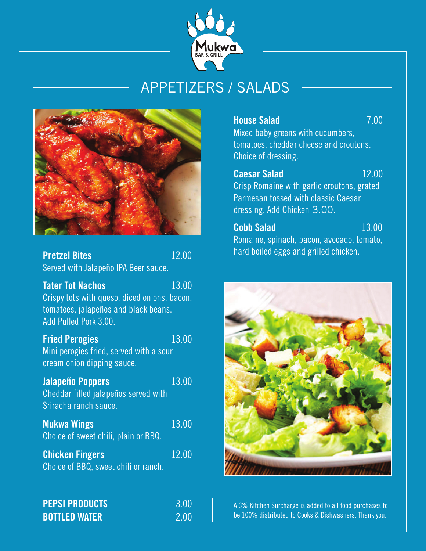

# APPETIZERS / SALADS



| <b>Pretzel Bites</b>                                                                                                                     | 12.00 |
|------------------------------------------------------------------------------------------------------------------------------------------|-------|
| Served with Jalapeño IPA Beer sauce.                                                                                                     |       |
| <b>Tater Tot Nachos</b><br>Crispy tots with queso, diced onions, bacon,<br>tomatoes, jalapeños and black beans.<br>Add Pulled Pork 3.00. | 13.00 |
| <b>Fried Perogies</b><br>Mini perogies fried, served with a sour<br>cream onion dipping sauce.                                           | 13.00 |
| <b>Jalapeño Poppers</b><br>Cheddar filled jalapeños served with<br>Sriracha ranch sauce.                                                 | 13.00 |
| <b>Mukwa Wings</b><br>Choice of sweet chili, plain or BBQ.                                                                               | 13.00 |
| <b>Chicken Fingers</b><br>Choice of BBQ, sweet chili or ranch.                                                                           | 12.00 |
| <b>PEPSI PRODUCTS</b>                                                                                                                    | 3.00  |

**BOTTLED WATER** 2.00

**House Salad** 7.00

Mixed baby greens with cucumbers, tomatoes, cheddar cheese and croutons. Choice of dressing.

**Caesar Salad** 12.00 Crisp Romaine with garlic croutons, grated Parmesan tossed with classic Caesar dressing. Add Chicken 3.00.

**Cobb Salad** 13.00 Romaine, spinach, bacon, avocado, tomato, hard boiled eggs and grilled chicken.



A 3% Kitchen Surcharge is added to all food purchases to be 100% distributed to Cooks & Dishwashers. Thank you.